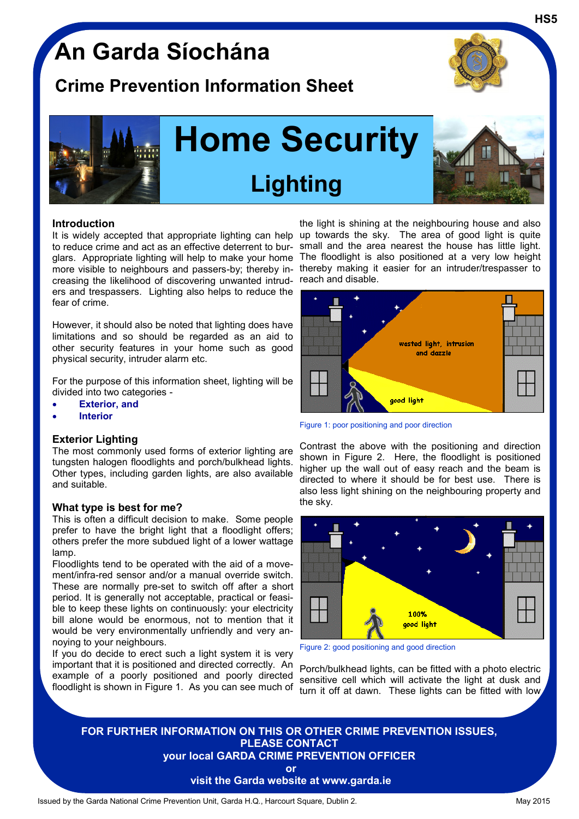## **An Garda Síochána**

### **Crime Prevention Information Sheet**



**HS5**



# **Home Security Lighting**



#### **Introduction**

It is widely accepted that appropriate lighting can help up towards the sky. The area of good light is quite to reduce crime and act as an effective deterrent to burglars. Appropriate lighting will help to make your home The floodlight is also positioned at a very low height more visible to neighbours and passers-by; thereby increasing the likelihood of discovering unwanted intruders and trespassers. Lighting also helps to reduce the fear of crime.

However, it should also be noted that lighting does have limitations and so should be regarded as an aid to other security features in your home such as good physical security, intruder alarm etc.

For the purpose of this information sheet, lighting will be divided into two categories -

- **Exterior, and**
- **Interior**

#### **Exterior Lighting**

The most commonly used forms of exterior lighting are tungsten halogen floodlights and porch/bulkhead lights. Other types, including garden lights, are also available and suitable.

#### **What type is best for me?**

This is often a difficult decision to make. Some people prefer to have the bright light that a floodlight offers; others prefer the more subdued light of a lower wattage lamp.

Floodlights tend to be operated with the aid of a movement/infra-red sensor and/or a manual override switch. These are normally pre-set to switch off after a short period. It is generally not acceptable, practical or feasible to keep these lights on continuously: your electricity bill alone would be enormous, not to mention that it would be very environmentally unfriendly and very annoying to your neighbours.

If you do decide to erect such a light system it is very important that it is positioned and directed correctly. An example of a poorly positioned and poorly directed floodlight is shown in Figure 1. As you can see much of

the light is shining at the neighbouring house and also small and the area nearest the house has little light. thereby making it easier for an intruder/trespasser to reach and disable.



Figure 1: poor positioning and poor direction

Contrast the above with the positioning and direction shown in Figure 2. Here, the floodlight is positioned higher up the wall out of easy reach and the beam is directed to where it should be for best use. There is also less light shining on the neighbouring property and the sky.



Figure 2: good positioning and good direction

Porch/bulkhead lights, can be fitted with a photo electric sensitive cell which will activate the light at dusk and turn it off at dawn. These lights can be fitted with low

### **FOR FURTHER INFORMATION ON THIS OR OTHER CRIME PREVENTION ISSUES, PLEASE CONTACT your local GARDA CRIME PREVENTION OFFICER**

**or**

**visit the Garda website at www.garda.ie**